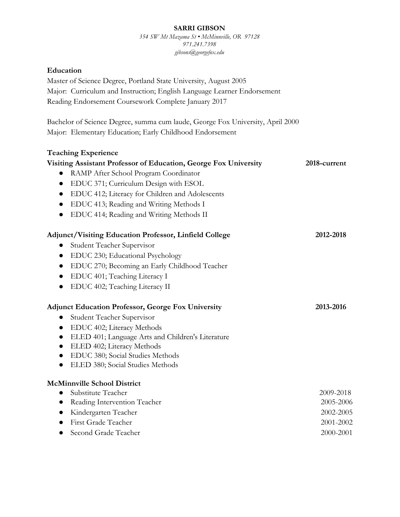#### **SARRI GIBSON**

*354 SW Mt Mazama St • McMinnville, OR 97128 971.241.7398 gibsons@georgefox.edu*

# **Education**

Master of Science Degree, Portland State University, August 2005 Major: Curriculum and Instruction; English Language Learner Endorsement Reading Endorsement Coursework Complete January 2017

Bachelor of Science Degree, summa cum laude, George Fox University, April 2000 Major: Elementary Education; Early Childhood Endorsement

# **Teaching Experience**

| 2018-current |
|--------------|
|              |
|              |
|              |
|              |
|              |
| 2012-2018    |
|              |
|              |
|              |
|              |
|              |
|              |
| 2013-2016    |
|              |
|              |
|              |
|              |
|              |
|              |
|              |
| 2009-2018    |
| 2005-2006    |
| 2002-2005    |
| 2001-2002    |
|              |